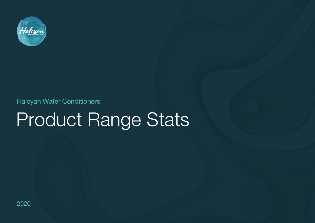

Halcyan Water Conditioners

## Product Range Stats

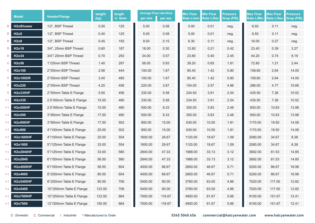|     | <b>Model</b>                  | <b>Header/Flange</b>     | weight<br>(kg) | length<br>$+/-$ 5mm | <b>Average Flow rate-litres</b><br>per min | per sec | <b>Min Flow</b><br>Rate L/mm | <b>Min Flow</b><br><b>Rate L/Sec</b> | <b>Pressure</b><br>Drop (PSI) | <b>Max Flow</b><br><b>Rate L/Min</b> | <b>Max Flow</b><br>Rate L/Sec | <b>Pressure</b><br>Drop (PSI) |
|-----|-------------------------------|--------------------------|----------------|---------------------|--------------------------------------------|---------|------------------------------|--------------------------------------|-------------------------------|--------------------------------------|-------------------------------|-------------------------------|
| D   | <b>H2oShower</b>              | 1/2", BSP Thread         | 0.50           | 125                 | 5.00                                       | 0.08    | 5.00                         | 0.01                                 | neg.                          | 6.50                                 | 0.11                          | neg.                          |
| D   | H <sub>2</sub> o <sub>5</sub> | 1/2", BSP Thread         | 0.40           | 125                 | 5.00                                       | 0.08    | 5.00                         | 0.01                                 | neg.                          | 6.50                                 | 0.11                          | neg.                          |
| D   | H <sub>209</sub>              | 1/2", BSP Thread         | 0.45           | 155                 | 9.00                                       | 0.15    | 6.30                         | 0.11                                 | neg.                          | 16.00                                | 0.27                          | neg.                          |
| D   | H <sub>2</sub> o18            | 3/4", 20mm BSP Thread    | 0.60           | 187                 | 18.00                                      | 0.30    | 12.60                        | 0.21                                 | 0.42                          | 23.40                                | 0.39                          | 3.27                          |
| D   | H2o34                         | 3/4"/20mm BSP Thread     | 0.70           | 250                 | 34.00                                      | 0.57    | 23.80                        | 0.40                                 | 2.45                          | 44.20                                | 0.74                          | 6.19                          |
| C   | H2o56                         | 1"/25mm BSP Thread       | 1.40           | 297                 | 56.00                                      | 0.93    | 39.20                        | 0.65                                 | 1.81                          | 72.80                                | 1.21                          | 2.44                          |
| C   | H2o100                        | 2"/50mm BSP Thread       | 2.56           | 444                 | 100.00                                     | 1.67    | 85.40                        | 1.42                                 | 5.80                          | 158.60                               | 2.64                          | 14.00                         |
| C   | <b>H2o100DR</b>               | 2"/50mm BSP Thread       | 3.40           | 485                 | 100.00                                     | 1.67    | 85.40                        | 1.42                                 | 5.80                          | 158.60                               | 2.64                          | 14.00                         |
| C   | H2o220                        | 2"/50mm BSP Thread       | 4.20           | 456                 | 220.00                                     | 3.67    | 154.00                       | 2.57                                 | 4.96                          | 286.00                               | 4.77                          | 10.66                         |
| C   | <b>H2o335HF</b>               | 2"/50mm Table E Flange   | 5.00           | 456                 | 335.00                                     | 5.58    | 234.50                       | 3.91                                 | 2.54                          | 435.50                               | 7.26                          | 10.52                         |
|     | H2o335                        | 2.5"/65mm Table E Flange | 15.00          | 480                 | 335.00                                     | 5.58    | 234.50                       | 3.91                                 | 2.54                          | 435.50                               | 7.26                          | 10.52                         |
|     | <b>H2o500HF</b>               | 2.5"/65mm Table E Flange | 15.00          | 480                 | 500.00                                     | 8.33    | 350.00                       | 5.83                                 | 2.48                          | 650.00                               | 10.83                         | 13.98                         |
| * 1 | H2o500                        | 3"/80mm Table E Flange   | 17.50          | 480                 | 500.00                                     | 8.33    | 350.00                       | 5.83                                 | 2.48                          | 650.00                               | 10.83                         | 13.98                         |
|     | <b>H2o900HF</b>               | 3"/80mm Table E Flange   | 17.50          | 502                 | 900.00                                     | 15.00   | 630.00                       | 10.50                                | 1.81                          | 1170.00                              | 19.50                         | 14.08                         |
|     | H <sub>2</sub> o900           | 4"/100mm Table E Flange  | 25.00          | 502                 | 900.00                                     | 15.00   | 630.00                       | 10.50                                | 1.81                          | 1170.00                              | 19.50                         | 14.08                         |
|     | <b>H2o1600HF</b>              | 4"/100mm Table E Flange  | 25.00          | 554                 | 1600.00                                    | 26.67   | 1120.00                      | 18.67                                | 1.09                          | 2080.00                              | 34.67                         | 8.38                          |
|     | H2o1600                       | 5"/125mm Table E Flange  | 33.00          | 554                 | 1600.00                                    | 26.67   | 1120.00                      | 18.67                                | 1.09                          | 2080.00                              | 34.67                         | 8.38                          |
|     | <b>H2o2840HF</b>              | 5"/125mm Table E Flange  | 33.00          | 580                 | 2840.00                                    | 47.33   | 1988.00                      | 33.13                                | 3.12                          | 3692.00                              | 61.53                         | 14.85                         |
|     | H2o2840                       | 6"/150mm Table E Flange  | 56.50          | 580                 | 2840.00                                    | 47.33   | 1988.00                      | 33.13                                | 3.12                          | 3692.00                              | 61.53                         | 14.85                         |
|     | <b>H2o4000HF</b>              | 6"/150mm Table E Flange  | 56.50          | 604                 | 4000.00                                    | 66.67   | 2800.00                      | 46.67                                | 5.71                          | 5200.00                              | 86.67                         | 16.98                         |
|     | H2o4000                       | 8"/200mm Table E Flange  | 80.00          | 604                 | 4000.00                                    | 66.67   | 2800.00                      | 46.67                                | 5.71                          | 5200.00                              | 86.67                         | 16.98                         |
| * 1 | <b>H2o5400HF</b>              | 8"/200mm Table E Flange  | 80.00          | 706                 | 5400.00                                    | 90.00   | 3780.00                      | 63.00                                | 4.86                          | 7020.00                              | 117.00                        | 12.82                         |
| * 1 | H2o5400                       | 10"/250mm Table E Flange | 123.50         | 706                 | 5400.00                                    | 90.00   | 3780.00                      | 63.00                                | 4.86                          | 7020.00                              | 117.00                        | 12.82                         |
| * 1 | <b>H2o7000HF</b>              | 10"/250mm Table E Flange | 123.50         | 864                 | 7000.00                                    | 116.67  | 4900.00                      | 81.67                                | 5.66                          | 9100.00                              | 151.67                        | 12.41                         |
|     | H2o7000                       | 12"/300mm Table E Flange | 150.00         | 864                 | 7000.00                                    | 116.67  | 4900.00                      | 81.67                                | 5.66                          | 9100.00                              | 151.67                        | 12.41                         |